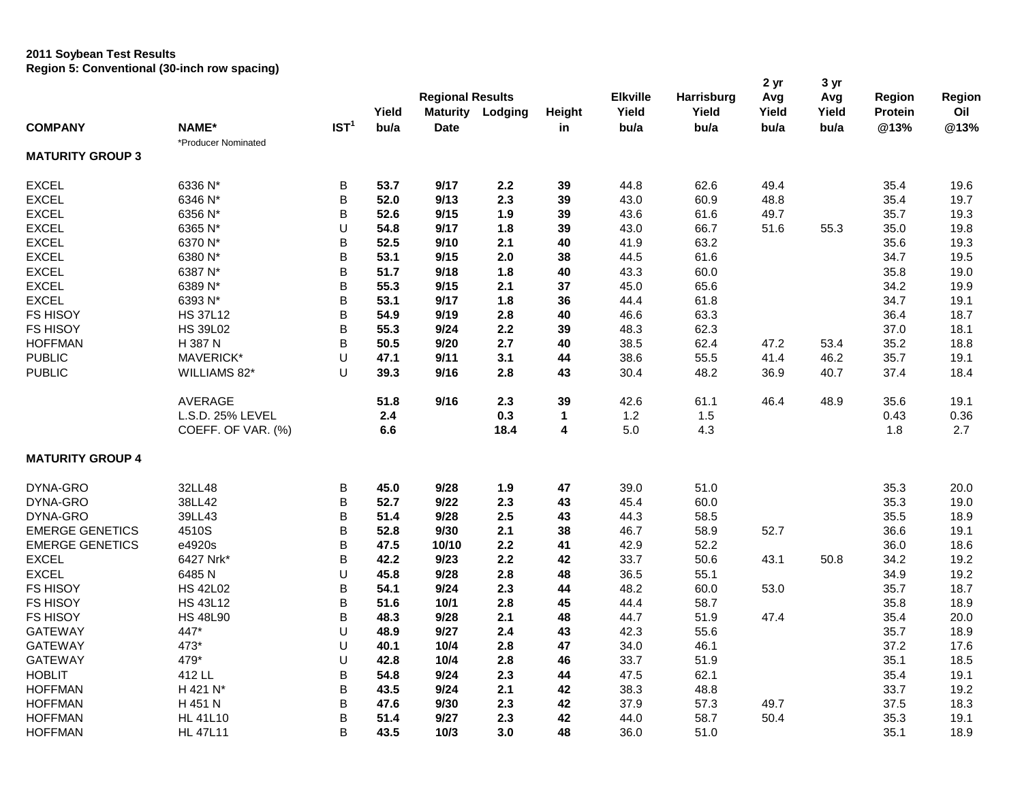## **2011 Soybean Test Results Region 5: Conventional (30-inch row spacing)**

| <b>Regional Results</b><br><b>Elkville</b><br><b>Region</b><br>Harrisburg<br>Avg<br>Avg<br>Yield<br>Yield<br><b>Maturity Lodging</b><br>Height<br>Yield<br>Yield<br>Yield<br>Protein<br>IST <sup>1</sup><br>NAME*<br>bu/a<br>@13%<br><b>COMPANY</b><br><b>Date</b><br>bu/a<br>bu/a<br>bu/a<br>in<br>bu/a<br>*Producer Nominated<br><b>MATURITY GROUP 3</b><br><b>EXCEL</b><br>6336 N*<br>53.7<br>9/17<br>2.2<br>44.8<br>62.6<br>49.4<br>35.4<br>Β<br>39 | Region<br>Oil<br>@13%<br>19.6<br>19.7<br>19.3<br>19.8 |
|---------------------------------------------------------------------------------------------------------------------------------------------------------------------------------------------------------------------------------------------------------------------------------------------------------------------------------------------------------------------------------------------------------------------------------------------------------|-------------------------------------------------------|
|                                                                                                                                                                                                                                                                                                                                                                                                                                                         |                                                       |
|                                                                                                                                                                                                                                                                                                                                                                                                                                                         |                                                       |
|                                                                                                                                                                                                                                                                                                                                                                                                                                                         |                                                       |
|                                                                                                                                                                                                                                                                                                                                                                                                                                                         |                                                       |
|                                                                                                                                                                                                                                                                                                                                                                                                                                                         |                                                       |
|                                                                                                                                                                                                                                                                                                                                                                                                                                                         |                                                       |
| B<br>60.9<br><b>EXCEL</b><br>6346 N*<br>52.0<br>9/13<br>2.3<br>39<br>43.0<br>48.8<br>35.4                                                                                                                                                                                                                                                                                                                                                               |                                                       |
| <b>EXCEL</b><br>B<br>9/15<br>6356 N*<br>52.6<br>1.9<br>39<br>43.6<br>61.6<br>49.7<br>35.7                                                                                                                                                                                                                                                                                                                                                               |                                                       |
| <b>EXCEL</b><br>U<br>66.7<br>6365 N*<br>54.8<br>9/17<br>1.8<br>39<br>43.0<br>51.6<br>55.3<br>35.0                                                                                                                                                                                                                                                                                                                                                       |                                                       |
| <b>EXCEL</b><br>6370 N*<br>B<br>9/10<br>41.9<br>63.2<br>35.6<br>52.5<br>2.1<br>40                                                                                                                                                                                                                                                                                                                                                                       | 19.3                                                  |
| <b>EXCEL</b><br>B<br>6380 N*<br>53.1<br>9/15<br>2.0<br>44.5<br>61.6<br>38<br>34.7                                                                                                                                                                                                                                                                                                                                                                       | 19.5                                                  |
| B<br><b>EXCEL</b><br>6387 N*<br>9/18<br>43.3<br>60.0<br>51.7<br>1.8<br>40<br>35.8                                                                                                                                                                                                                                                                                                                                                                       | 19.0                                                  |
| B<br><b>EXCEL</b><br>6389 N*<br>55.3<br>9/15<br>45.0<br>65.6<br>34.2<br>2.1<br>37                                                                                                                                                                                                                                                                                                                                                                       | 19.9                                                  |
| <b>EXCEL</b><br>B<br>6393 N*<br>53.1<br>9/17<br>1.8<br>36<br>44.4<br>61.8<br>34.7                                                                                                                                                                                                                                                                                                                                                                       | 19.1                                                  |
| <b>FS HISOY</b><br>B<br>63.3<br><b>HS 37L12</b><br>54.9<br>9/19<br>2.8<br>40<br>46.6<br>36.4                                                                                                                                                                                                                                                                                                                                                            | 18.7                                                  |
| <b>FS HISOY</b><br>B<br><b>HS 39L02</b><br>55.3<br>9/24<br>2.2<br>48.3<br>62.3<br>37.0<br>39                                                                                                                                                                                                                                                                                                                                                            | 18.1                                                  |
| <b>HOFFMAN</b><br>H 387 N<br>B<br>50.5<br>9/20<br>2.7<br>38.5<br>62.4<br>47.2<br>35.2<br>40<br>53.4                                                                                                                                                                                                                                                                                                                                                     | 18.8                                                  |
| <b>PUBLIC</b><br>MAVERICK*<br>U<br>9/11<br>38.6<br>55.5<br>46.2<br>47.1<br>3.1<br>44<br>41.4<br>35.7                                                                                                                                                                                                                                                                                                                                                    | 19.1                                                  |
| <b>PUBLIC</b><br>U<br>39.3<br>9/16<br>2.8<br>30.4<br>48.2<br>37.4<br>WILLIAMS 82*<br>43<br>36.9<br>40.7                                                                                                                                                                                                                                                                                                                                                 | 18.4                                                  |
| <b>AVERAGE</b><br>51.8<br>9/16<br>2.3<br>39<br>42.6<br>61.1<br>46.4<br>48.9<br>35.6                                                                                                                                                                                                                                                                                                                                                                     | 19.1                                                  |
| L.S.D. 25% LEVEL<br>1.2<br>1.5<br>2.4<br>0.3<br>0.43<br>$\mathbf{1}$                                                                                                                                                                                                                                                                                                                                                                                    | 0.36                                                  |
| 5.0<br>4.3<br>COEFF. OF VAR. (%)<br>6.6<br>18.4<br>4<br>1.8                                                                                                                                                                                                                                                                                                                                                                                             | 2.7                                                   |
| <b>MATURITY GROUP 4</b>                                                                                                                                                                                                                                                                                                                                                                                                                                 |                                                       |
| DYNA-GRO<br>32LL48<br>45.0<br>9/28<br>39.0<br>51.0<br>В<br>1.9<br>47<br>35.3                                                                                                                                                                                                                                                                                                                                                                            | 20.0                                                  |
| 38LL42<br>B<br>60.0<br>DYNA-GRO<br>52.7<br>9/22<br>2.3<br>43<br>45.4<br>35.3                                                                                                                                                                                                                                                                                                                                                                            | 19.0                                                  |
| B<br>2.5<br>58.5<br>DYNA-GRO<br>39LL43<br>51.4<br>9/28<br>43<br>44.3<br>35.5                                                                                                                                                                                                                                                                                                                                                                            | 18.9                                                  |
| B<br><b>EMERGE GENETICS</b><br>4510S<br>52.8<br>9/30<br>2.1<br>38<br>46.7<br>58.9<br>52.7<br>36.6                                                                                                                                                                                                                                                                                                                                                       | 19.1                                                  |
| <b>EMERGE GENETICS</b><br>e4920s<br>B<br>52.2<br>47.5<br>10/10<br>2.2<br>42.9<br>36.0<br>41                                                                                                                                                                                                                                                                                                                                                             | 18.6                                                  |
| <b>EXCEL</b><br>6427 Nrk*<br>B<br>42.2<br>9/23<br>2.2<br>33.7<br>50.6<br>42<br>43.1<br>50.8<br>34.2                                                                                                                                                                                                                                                                                                                                                     | 19.2                                                  |
| <b>EXCEL</b><br>U<br>6485N<br>45.8<br>9/28<br>2.8<br>48<br>36.5<br>55.1<br>34.9                                                                                                                                                                                                                                                                                                                                                                         | 19.2                                                  |
| B<br><b>FS HISOY</b><br><b>HS 42L02</b><br>54.1<br>9/24<br>2.3<br>48.2<br>60.0<br>44<br>53.0<br>35.7                                                                                                                                                                                                                                                                                                                                                    | 18.7                                                  |
| <b>FS HISOY</b><br>B<br><b>HS 43L12</b><br>51.6<br>$10/1$<br>2.8<br>45<br>44.4<br>58.7<br>35.8                                                                                                                                                                                                                                                                                                                                                          | 18.9                                                  |
| B<br><b>FS HISOY</b><br>9/28<br>2.1<br>44.7<br>51.9<br>47.4<br><b>HS 48L90</b><br>48.3<br>48<br>35.4                                                                                                                                                                                                                                                                                                                                                    | 20.0                                                  |
| 447*<br>U<br>55.6<br><b>GATEWAY</b><br>48.9<br>9/27<br>2.4<br>42.3<br>35.7<br>43                                                                                                                                                                                                                                                                                                                                                                        | 18.9                                                  |
| <b>GATEWAY</b><br>473*<br>U<br>40.1<br>10/4<br>2.8<br>47<br>34.0<br>46.1<br>37.2                                                                                                                                                                                                                                                                                                                                                                        | 17.6                                                  |
| 479*<br>U<br><b>GATEWAY</b><br>42.8<br>10/4<br>2.8<br>33.7<br>51.9<br>35.1<br>46                                                                                                                                                                                                                                                                                                                                                                        | 18.5                                                  |
| <b>HOBLIT</b><br>412 LL<br>B<br>9/24<br>62.1<br>54.8<br>2.3<br>44<br>47.5<br>35.4                                                                                                                                                                                                                                                                                                                                                                       | 19.1                                                  |
| <b>HOFFMAN</b><br>H 421 N*<br>B<br>43.5<br>9/24<br>2.1<br>38.3<br>48.8<br>33.7<br>42                                                                                                                                                                                                                                                                                                                                                                    | 19.2                                                  |
| <b>HOFFMAN</b><br>B<br>H 451 N<br>47.6<br>9/30<br>2.3<br>42<br>37.9<br>57.3<br>49.7<br>37.5                                                                                                                                                                                                                                                                                                                                                             | 18.3                                                  |
| B<br><b>HOFFMAN</b><br><b>HL 41L10</b><br>51.4<br>9/27<br>2.3<br>42<br>44.0<br>58.7<br>50.4<br>35.3                                                                                                                                                                                                                                                                                                                                                     | 19.1                                                  |

HOFFMAN HL 47L11 B **43.5 10/3 3.0 48** 36.0 51.0 35.1 18.9